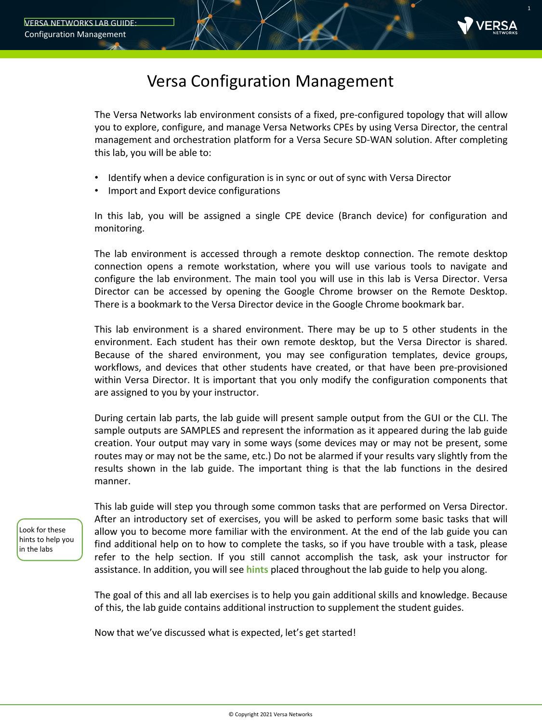

### Versa Configuration Management

The Versa Networks lab environment consists of a fixed, pre-configured topology that will allow you to explore, configure, and manage Versa Networks CPEs by using Versa Director, the central management and orchestration platform for a Versa Secure SD-WAN solution. After completing this lab, you will be able to:

- Identify when a device configuration is in sync or out of sync with Versa Director
- Import and Export device configurations

In this lab, you will be assigned a single CPE device (Branch device) for configuration and monitoring.

The lab environment is accessed through a remote desktop connection. The remote desktop connection opens a remote workstation, where you will use various tools to navigate and configure the lab environment. The main tool you will use in this lab is Versa Director. Versa Director can be accessed by opening the Google Chrome browser on the Remote Desktop. There is a bookmark to the Versa Director device in the Google Chrome bookmark bar.

This lab environment is a shared environment. There may be up to 5 other students in the environment. Each student has their own remote desktop, but the Versa Director is shared. Because of the shared environment, you may see configuration templates, device groups, workflows, and devices that other students have created, or that have been pre-provisioned within Versa Director. It is important that you only modify the configuration components that are assigned to you by your instructor.

During certain lab parts, the lab guide will present sample output from the GUI or the CLI. The sample outputs are SAMPLES and represent the information as it appeared during the lab guide creation. Your output may vary in some ways (some devices may or may not be present, some routes may or may not be the same, etc.) Do not be alarmed if your results vary slightly from the results shown in the lab guide. The important thing is that the lab functions in the desired manner.

Look for these hints to help you in the labs

This lab guide will step you through some common tasks that are performed on Versa Director. After an introductory set of exercises, you will be asked to perform some basic tasks that will allow you to become more familiar with the environment. At the end of the lab guide you can find additional help on to how to complete the tasks, so if you have trouble with a task, please refer to the help section. If you still cannot accomplish the task, ask your instructor for assistance. In addition, you will see **hints** placed throughout the lab guide to help you along.

The goal of this and all lab exercises is to help you gain additional skills and knowledge. Because of this, the lab guide contains additional instruction to supplement the student guides.

Now that we've discussed what is expected, let's get started!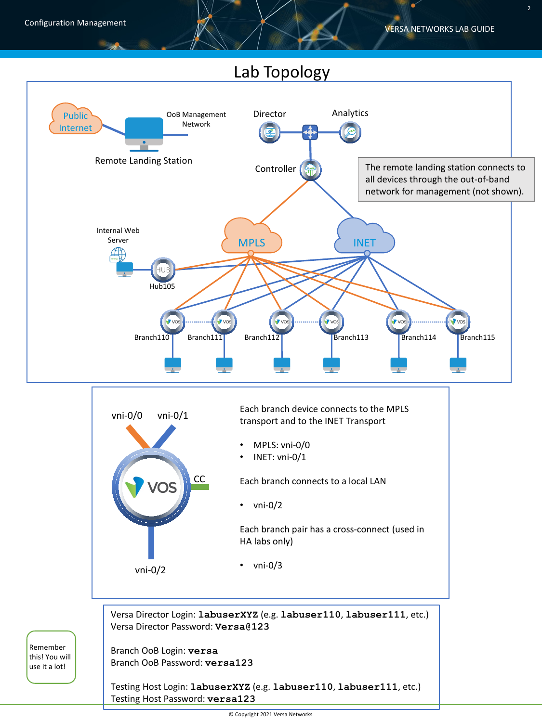## Lab Topology



Branch OoB Login: **versa** Branch OoB Password: **versa123**

Remember this! You will use it a lot!

> Testing Host Login: **labuserXYZ** (e.g. **labuser110**, **labuser111**, etc.) Testing Host Password: **versa123**

> > © Copyright 2021 Versa Networks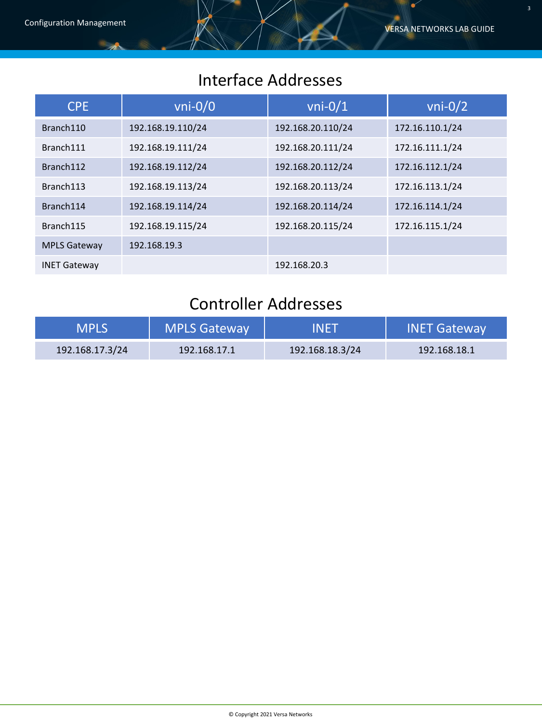## Interface Addresses

| <b>CPE</b>          | $vni-0/0$         | $vni-0/1$         | $vni-0/2$       |
|---------------------|-------------------|-------------------|-----------------|
| Branch110           | 192.168.19.110/24 | 192.168.20.110/24 | 172.16.110.1/24 |
| Branch111           | 192.168.19.111/24 | 192.168.20.111/24 | 172.16.111.1/24 |
| Branch112           | 192.168.19.112/24 | 192.168.20.112/24 | 172.16.112.1/24 |
| Branch113           | 192.168.19.113/24 | 192.168.20.113/24 | 172.16.113.1/24 |
| Branch114           | 192.168.19.114/24 | 192.168.20.114/24 | 172.16.114.1/24 |
| Branch115           | 192.168.19.115/24 | 192.168.20.115/24 | 172.16.115.1/24 |
| <b>MPLS Gateway</b> | 192.168.19.3      |                   |                 |
| <b>INET Gateway</b> |                   | 192.168.20.3      |                 |

# Controller Addresses

| <b>MPLS</b>     | <b>MPLS Gateway</b> | INET            | <b>INET Gateway</b> |
|-----------------|---------------------|-----------------|---------------------|
| 192.168.17.3/24 | 192.168.17.1        | 192.168.18.3/24 | 192.168.18.1        |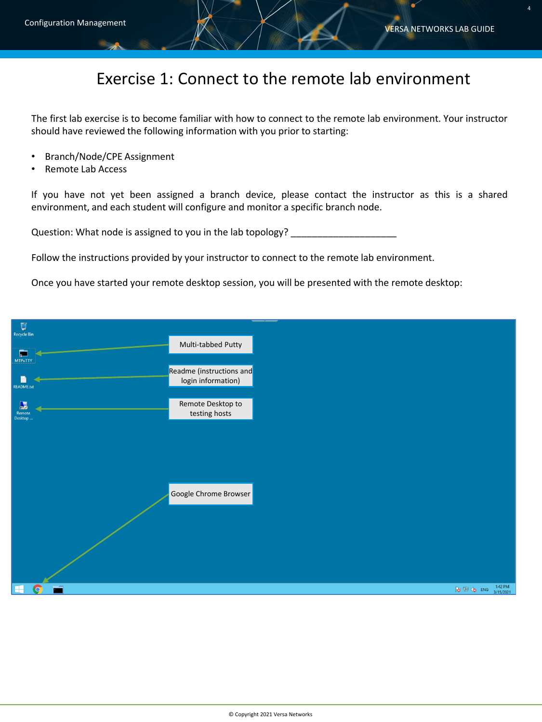#### Exercise 1: Connect to the remote lab environment

The first lab exercise is to become familiar with how to connect to the remote lab environment. Your instructor should have reviewed the following information with you prior to starting:

- Branch/Node/CPE Assignment
- Remote Lab Access

If you have not yet been assigned a branch device, please contact the instructor as this is a shared environment, and each student will configure and monitor a specific branch node.

Question: What node is assigned to you in the lab topology? \_\_\_\_\_\_\_\_\_\_\_\_\_\_\_\_\_\_\_\_

Follow the instructions provided by your instructor to connect to the remote lab environment.

Once you have started your remote desktop session, you will be presented with the remote desktop:

| Ū<br><b>Recycle Bin</b>       |                                                |                   |
|-------------------------------|------------------------------------------------|-------------------|
|                               | Multi-tabbed Putty                             |                   |
| 戸                             |                                                |                   |
| <b>MTPuTTY</b>                |                                                |                   |
|                               | Readme (instructions and<br>login information) |                   |
| <b>README.txt</b>             |                                                |                   |
|                               |                                                |                   |
| $\mathbf{R}$<br>Remote        | Remote Desktop to<br>testing hosts             |                   |
| Desktop                       |                                                |                   |
|                               |                                                |                   |
|                               |                                                |                   |
|                               |                                                |                   |
|                               |                                                |                   |
|                               |                                                |                   |
|                               |                                                |                   |
|                               | Google Chrome Browser                          |                   |
|                               |                                                |                   |
|                               |                                                |                   |
|                               |                                                |                   |
|                               |                                                |                   |
|                               |                                                |                   |
|                               |                                                |                   |
|                               |                                                |                   |
|                               |                                                |                   |
|                               |                                                |                   |
| <b>Fill</b><br>H<br>$\bullet$ |                                                | <b>NB</b> (b ENG) |
|                               |                                                |                   |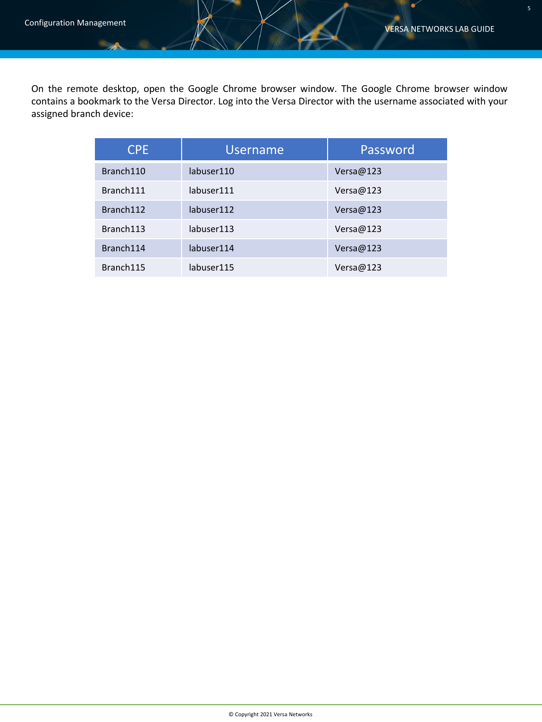$\bullet$ 

On the remote desktop, open the Google Chrome browser window. The Google Chrome browser window contains a bookmark to the Versa Director. Log into the Versa Director with the username associated with your assigned branch device:

| <b>CPE</b> | <b>Username</b> | Password  |
|------------|-----------------|-----------|
| Branch110  | labuser110      | Versa@123 |
| Branch111  | labuser111      | Versa@123 |
| Branch112  | labuser112      | Versa@123 |
| Branch113  | labuser113      | Versa@123 |
| Branch114  | labuser114      | Versa@123 |
| Branch115  | labuser115      | Versa@123 |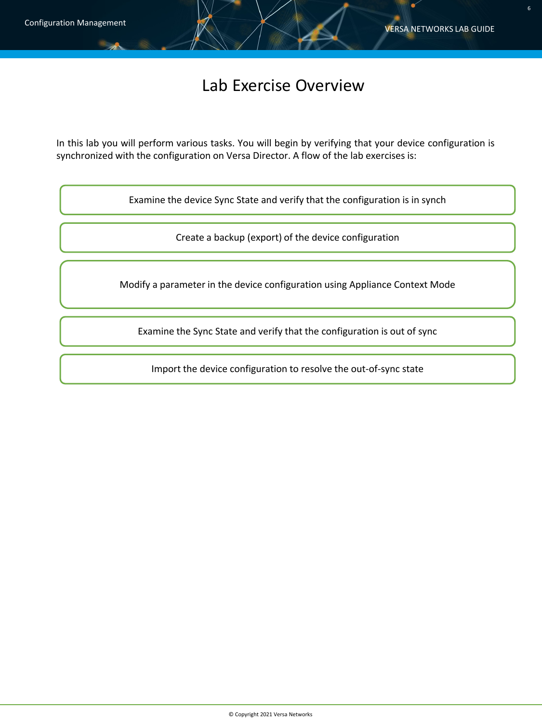#### Lab Exercise Overview

In this lab you will perform various tasks. You will begin by verifying that your device configuration is synchronized with the configuration on Versa Director. A flow of the lab exercises is:

Examine the device Sync State and verify that the configuration is in synch

Create a backup (export) of the device configuration

Modify a parameter in the device configuration using Appliance Context Mode

Examine the Sync State and verify that the configuration is out of sync

Import the device configuration to resolve the out-of-sync state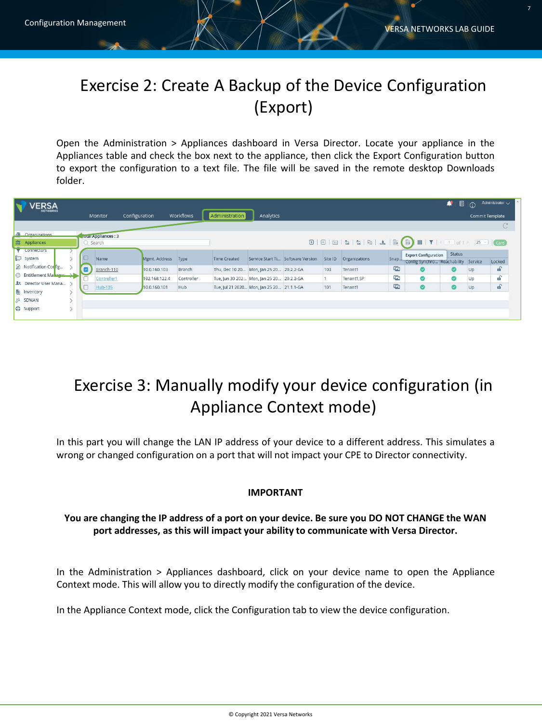# Exercise 2: Create A Backup of the Device Configuration (Export)

Open the Administration > Appliances dashboard in Versa Director. Locate your appliance in the Appliances table and check the box next to the appliance, then click the Export Configuration button to export the configuration to a text file. The file will be saved in the remote desktop Downloads folder.

| <b>ERSA</b>                   |  |                      |                    |            |                     |                                           |                                   |         |                                                                                                                                                                                                                                                                                                                                                                                                                                                                                                                                                      |             |                                          | <b>A</b><br>圓 | $\Omega$ | Administrator $\sqrt{}$ |
|-------------------------------|--|----------------------|--------------------|------------|---------------------|-------------------------------------------|-----------------------------------|---------|------------------------------------------------------------------------------------------------------------------------------------------------------------------------------------------------------------------------------------------------------------------------------------------------------------------------------------------------------------------------------------------------------------------------------------------------------------------------------------------------------------------------------------------------------|-------------|------------------------------------------|---------------|----------|-------------------------|
| NETWORKS                      |  | Monitor              | Configuration      | Workflows  | Administration      | Analytics                                 |                                   |         |                                                                                                                                                                                                                                                                                                                                                                                                                                                                                                                                                      |             |                                          |               |          | Commit Template         |
|                               |  |                      |                    |            |                     |                                           |                                   |         |                                                                                                                                                                                                                                                                                                                                                                                                                                                                                                                                                      |             |                                          |               |          | C                       |
| <b>Contractions</b>           |  | rotal Appliances : 3 |                    |            |                     |                                           |                                   |         |                                                                                                                                                                                                                                                                                                                                                                                                                                                                                                                                                      |             |                                          |               |          |                         |
| <b>S</b> Appliances           |  | Search               |                    |            |                     |                                           |                                   |         | $\textcolor{blue}{\textcircled{\textup{H}}} \hspace{1em} \textcolor{blue}{\textcircled{\textup{H}}} \hspace{1em} \textcolor{blue}{\textcircled{\textup{H}}} \hspace{1em} \textcolor{blue}{\textcircled{\textup{H}}} \hspace{1em} \textcolor{blue}{\textup{H}}} \hspace{1em} \textcolor{blue}{\textcircled{\textup{H}}} \hspace{1em} \textcolor{blue}{\textcircled{\textup{H}}} \hspace{1em} \textcolor{blue}{\textcircled{\textup{H}}} \hspace{1em} \textcolor{blue}{\textup{H}}} \hspace{1em} \textcolor{blue}{\textcircled{\textup{H}}} \hspace{1$ |             |                                          |               |          |                         |
| <b>N</b> Connectors           |  |                      |                    |            |                     |                                           |                                   |         |                                                                                                                                                                                                                                                                                                                                                                                                                                                                                                                                                      |             | <b>Export Configuration</b>              | <b>Status</b> |          |                         |
| System                        |  | Name                 | Mgmt. Address Type |            | <b>Time Created</b> |                                           | Service Start Ti Software Version | Site ID | Organizations                                                                                                                                                                                                                                                                                                                                                                                                                                                                                                                                        |             | Snap Contig Synchro Reachability Service |               |          | Locked                  |
| Notification Cor fig          |  | Branch-110           | 10.0.160.103       | Branch     |                     | Thu, Dec 10 20 Mon, Jan 25 20 20.2.2-GA   |                                   | 103     | Tenant1                                                                                                                                                                                                                                                                                                                                                                                                                                                                                                                                              | <b>Line</b> | ◎                                        | Ø             | Up       | f                       |
| <b>C</b> Entitlement Manager  |  | Controller1          | 192.168.122.4      | Controller |                     | Tue, Jun 30 202 Mon, Jan 25 20 20.2.2-GA  |                                   |         | Tenant1,SP                                                                                                                                                                                                                                                                                                                                                                                                                                                                                                                                           | <b>G</b>    | $\bullet$                                | ⊗             | Up       | $\mathbf{F}$            |
| <b>1</b> Director User Mana > |  | Hub-105              | 10.0.160.101       | <b>Hub</b> |                     | Tue, Jul 21 2020 Mon, Jan 25 20 21.1.1-GA |                                   | 101     | Tenant1                                                                                                                                                                                                                                                                                                                                                                                                                                                                                                                                              | <b>E</b>    | $\bullet$                                | ◎             | Up       | f(x)                    |
| la Inventory                  |  |                      |                    |            |                     |                                           |                                   |         |                                                                                                                                                                                                                                                                                                                                                                                                                                                                                                                                                      |             |                                          |               |          |                         |
| SDWAN                         |  |                      |                    |            |                     |                                           |                                   |         |                                                                                                                                                                                                                                                                                                                                                                                                                                                                                                                                                      |             |                                          |               |          |                         |
| <b>CD</b> Support             |  |                      |                    |            |                     |                                           |                                   |         |                                                                                                                                                                                                                                                                                                                                                                                                                                                                                                                                                      |             |                                          |               |          |                         |
|                               |  |                      |                    |            |                     |                                           |                                   |         |                                                                                                                                                                                                                                                                                                                                                                                                                                                                                                                                                      |             |                                          |               |          |                         |

# Exercise 3: Manually modify your device configuration (in Appliance Context mode)

In this part you will change the LAN IP address of your device to a different address. This simulates a wrong or changed configuration on a port that will not impact your CPE to Director connectivity.

#### **IMPORTANT**

#### **You are changing the IP address of a port on your device. Be sure you DO NOT CHANGE the WAN port addresses, as this will impact your ability to communicate with Versa Director.**

In the Administration > Appliances dashboard, click on your device name to open the Appliance Context mode. This will allow you to directly modify the configuration of the device.

In the Appliance Context mode, click the Configuration tab to view the device configuration.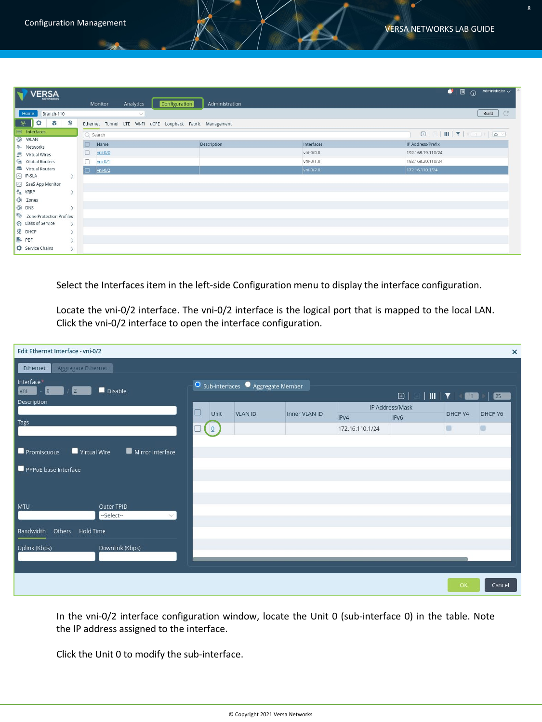| <b>VERSA</b><br>w                                               |                  | Analytics<br>Monitor                                      | Configuration<br>Administration |            | 圓<br>Administrator $\sqrt{}$<br>∙<br>$\odot$ |
|-----------------------------------------------------------------|------------------|-----------------------------------------------------------|---------------------------------|------------|----------------------------------------------|
| Home<br>Branch-110                                              |                  | $\vee$                                                    |                                 |            | Build                                        |
| $\frac{1}{2}$ $\frac{1}{2}$<br>62                               |                  | Ethernet Tunnel LTE Wi-Fi uCPE Loopback Fabric Management |                                 |            |                                              |
| Interfaces                                                      |                  | Q Search                                                  |                                 |            |                                              |
| <b><sup><sup><i><i>m</i></i></sup></sup></b> WLAN<br>楽 Networks |                  | Name<br>'n                                                | Description                     | Interfaces | IP Address/Prefix                            |
| S Virtual Wires                                                 |                  | O<br>$yni-0/0$                                            |                                 | vni-0/0.0  | 192.168.19.110/24                            |
| Global Routers                                                  |                  | 0<br>yni-0/1                                              |                                 | vni-0/1.0  | 192.168.20.110/24                            |
| Virtual Routers                                                 |                  | $yni-0/2$<br>Π                                            |                                 | vni-0/2.0  | 172.16.110.1/24                              |
| $\boxed{\sim}$ IP-SLA                                           | $\rightarrow$    |                                                           |                                 |            |                                              |
| SaaS App Monitor                                                |                  |                                                           |                                 |            |                                              |
| $\frac{B}{L}$ VRRP                                              | $\mathcal{P}$    |                                                           |                                 |            |                                              |
| @ Zones                                                         |                  |                                                           |                                 |            |                                              |
| <b>Q</b> DNS                                                    | $\rightarrow$    |                                                           |                                 |            |                                              |
| 2 Zone Protection Profiles                                      |                  |                                                           |                                 |            |                                              |
| Cass of Service                                                 | $\rightarrow$    |                                                           |                                 |            |                                              |
| <b>O</b> DHCP                                                   | $\mathcal{P}$    |                                                           |                                 |            |                                              |
| <b>B</b> PBF                                                    | $\mathcal{P}$    |                                                           |                                 |            |                                              |
| Service Chains                                                  | $\left( \right)$ |                                                           |                                 |            |                                              |

Select the Interfaces item in the left-side Configuration menu to display the interface configuration.

Locate the vni-0/2 interface. The vni-0/2 interface is the logical port that is mapped to the local LAN. Click the vni-0/2 interface to open the interface configuration.

| Edit Ethernet Interface - vni-0/2                           |                                                         |                |               |                 |                 |         | $\pmb{\times}$ |  |  |  |  |
|-------------------------------------------------------------|---------------------------------------------------------|----------------|---------------|-----------------|-----------------|---------|----------------|--|--|--|--|
| Aggregate Ethernet<br>Ethernet                              |                                                         |                |               |                 |                 |         |                |  |  |  |  |
| Interface*<br>Disable<br>$\overline{0}$<br>vni<br>$\vert$ 2 | O Sub-interfaces • Aggregate Member<br>$\boxed{\oplus}$ |                |               |                 |                 |         |                |  |  |  |  |
| Description                                                 | lo<br>Unit                                              | <b>VLAN ID</b> | Inner VLAN ID |                 | IP Address/Mask | DHCP V4 | DHCP V6        |  |  |  |  |
| <b>Tags</b>                                                 |                                                         |                |               | IPv4            | IPv6            |         |                |  |  |  |  |
|                                                             | Q                                                       |                |               | 172.16.110.1/24 |                 | п       | 面              |  |  |  |  |
|                                                             |                                                         |                |               |                 |                 |         |                |  |  |  |  |
| Virtual Wire<br>Mirror Interface<br>Promiscuous             |                                                         |                |               |                 |                 |         |                |  |  |  |  |
| PPPoE base Interface                                        |                                                         |                |               |                 |                 |         |                |  |  |  |  |
|                                                             |                                                         |                |               |                 |                 |         |                |  |  |  |  |
|                                                             |                                                         |                |               |                 |                 |         |                |  |  |  |  |
| Outer TPID<br><b>MTU</b>                                    |                                                         |                |               |                 |                 |         |                |  |  |  |  |
| --Select--<br>$\vee$                                        |                                                         |                |               |                 |                 |         |                |  |  |  |  |
| Bandwidth<br>Others Hold Time                               |                                                         |                |               |                 |                 |         |                |  |  |  |  |
| Uplink (Kbps)<br>Downlink (Kbps)                            |                                                         |                |               |                 |                 |         |                |  |  |  |  |
|                                                             |                                                         |                |               |                 |                 |         |                |  |  |  |  |
|                                                             |                                                         |                |               |                 |                 |         |                |  |  |  |  |
|                                                             |                                                         |                |               |                 |                 | OK      | Cancel         |  |  |  |  |

In the vni-0/2 interface configuration window, locate the Unit 0 (sub-interface 0) in the table. Note the IP address assigned to the interface.

Click the Unit 0 to modify the sub-interface.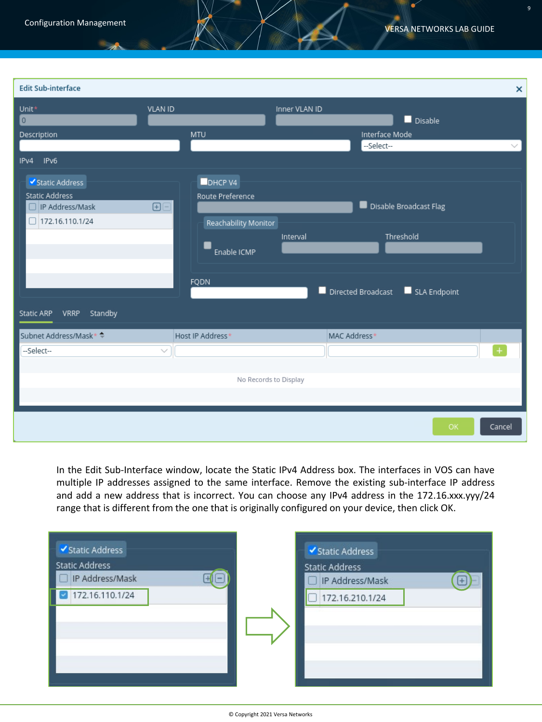| <b>Edit Sub-interface</b>                                                                                                 |                                                                                                        | $\boldsymbol{\mathsf{x}}$                                                             |
|---------------------------------------------------------------------------------------------------------------------------|--------------------------------------------------------------------------------------------------------|---------------------------------------------------------------------------------------|
| Unit*<br>$\boxed{0}$<br>Description                                                                                       | <b>VLAN ID</b><br><b>MTU</b>                                                                           | Inner VLAN ID<br>Disable<br>Interface Mode                                            |
| IPv6<br>IPv4                                                                                                              |                                                                                                        | --Select--<br>$\checkmark$                                                            |
| Static Address<br><b>Static Address</b><br>□ IP Address/Mask<br>□ 172.16.110.1/24<br><b>VRRP</b><br>Standby<br>Static ARP | <b>DHCP V4</b><br>Route Preference<br>$\boxplus$<br>Reachability Monitor<br>Enable ICMP<br><b>FQDN</b> | Disable Broadcast Flag<br>Threshold<br>Interval<br>Directed Broadcast<br>SLA Endpoint |
| Subnet Address/Mask* ↓                                                                                                    | Host IP Address*                                                                                       | MAC Address*                                                                          |
| --Select--                                                                                                                | $\checkmark$                                                                                           | $\ddot{}$                                                                             |
|                                                                                                                           | No Records to Display                                                                                  |                                                                                       |
|                                                                                                                           |                                                                                                        | OK<br>Cancel                                                                          |

In the Edit Sub-Interface window, locate the Static IPv4 Address box. The interfaces in VOS can have multiple IP addresses assigned to the same interface. Remove the existing sub-interface IP address and add a new address that is incorrect. You can choose any IPv4 address in the 172.16.xxx.yyy/24 range that is different from the one that is originally configured on your device, then click OK.

| IP Address/Mask<br>IP Address/Mask<br>$\left( \begin{array}{c} 1 \end{array} \right)$<br>172.16.110.1/24<br>172.16.210.1/24 | ✔ Static Address<br><b>Static Address</b> | ✔ Static Address<br><b>Static Address</b> | $+$ |
|-----------------------------------------------------------------------------------------------------------------------------|-------------------------------------------|-------------------------------------------|-----|
|-----------------------------------------------------------------------------------------------------------------------------|-------------------------------------------|-------------------------------------------|-----|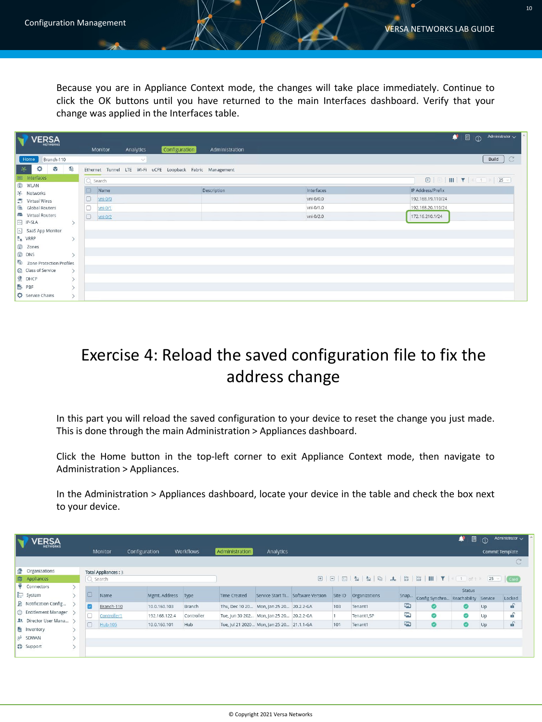Because you are in Appliance Context mode, the changes will take place immediately. Continue to click the OK buttons until you have returned to the main Interfaces dashboard. Verify that your change was applied in the Interfaces table.

| N<br><b>VERSA</b>                               | Analytics<br>Monitor                                      | Configuration<br>Administration |            | œ,<br>Administrator $\smile$<br>圓<br>$\Omega$                                                                           |
|-------------------------------------------------|-----------------------------------------------------------|---------------------------------|------------|-------------------------------------------------------------------------------------------------------------------------|
| Home<br>Branch-110                              | $\checkmark$                                              |                                 |            | $\mathbb{C}^2$<br>Build                                                                                                 |
| $\bullet$<br>S<br>۰<br>$\frac{2\mathcal{L}}{2}$ | Ethernet Tunnel LTE Wi-Fi uCPE Loopback Fabric Management |                                 |            |                                                                                                                         |
| Interfaces                                      | Q Search                                                  |                                 |            | $\mathbf{E} \parallel \Box \parallel \mathbf{III} \parallel \mathbf{Y} \parallel \mathbf{1} \parallel \mathbf{25} \vee$ |
| C WLAN<br>※ Networks                            | $\Box$<br>Name                                            | Description                     | Interfaces | IP Address/Prefix                                                                                                       |
| 5 Virtual Wires                                 | $\Box$<br>yni-0/0                                         |                                 | vni-0/0.0  | 192.168.19.110/24                                                                                                       |
| Global Routers                                  | lo<br>$vn$ i-0/1                                          |                                 | vni-0/1.0  | 192.168.20.110/24                                                                                                       |
| Virtual Routers                                 | $\Box$<br>$Vni-0/2$                                       |                                 | vni-0/2.0  | 172.16.210.1/24                                                                                                         |
| <b>B</b> IP-SLA<br>SaaS App Monitor             |                                                           |                                 |            |                                                                                                                         |
| 품 VRRP                                          |                                                           |                                 |            |                                                                                                                         |
| (@ Zones                                        |                                                           |                                 |            |                                                                                                                         |
| <b><sup>®</sup></b> DNS<br>$\mathcal{E}$        |                                                           |                                 |            |                                                                                                                         |
| Zone Protection Profiles                        |                                                           |                                 |            |                                                                                                                         |
| C Class of Service<br>$\rightarrow$             |                                                           |                                 |            |                                                                                                                         |
| <b>O</b> DHCP                                   |                                                           |                                 |            |                                                                                                                         |
| <b>B</b> PBF                                    |                                                           |                                 |            |                                                                                                                         |
| Service Chains                                  |                                                           |                                 |            |                                                                                                                         |

## Exercise 4: Reload the saved configuration file to fix the address change

In this part you will reload the saved configuration to your device to reset the change you just made. This is done through the main Administration > Appliances dashboard.

Click the Home button in the top-left corner to exit Appliance Context mode, then navigate to Administration > Appliances.

In the Administration > Appliances dashboard, locate your device in the table and check the box next to your device.

| <b>'ERSA</b>               |  |                         |                            |               |            |                     |                                           |                                   |         |                      |               |                                     | ۰<br>圓        | $\Omega$ | Administrator $\smile$ |
|----------------------------|--|-------------------------|----------------------------|---------------|------------|---------------------|-------------------------------------------|-----------------------------------|---------|----------------------|---------------|-------------------------------------|---------------|----------|------------------------|
| <b>RETWORKS</b>            |  |                         | Monitor                    | Configuration | Workflows  | Administration      | Analytics                                 |                                   |         |                      |               |                                     |               |          | <b>Commit Template</b> |
|                            |  |                         |                            |               |            |                     |                                           |                                   |         |                      |               |                                     |               |          |                        |
| <b>Organizations</b>       |  |                         | <b>Total Appliances: 3</b> |               |            |                     |                                           |                                   |         |                      |               |                                     |               |          |                        |
| Appliances                 |  | $Q$ Search              |                            |               |            |                     |                                           |                                   |         |                      |               |                                     |               |          | $25 \times$ Card       |
| 8<br>Connectors            |  |                         |                            |               |            |                     |                                           |                                   |         |                      |               |                                     | <b>Status</b> |          |                        |
| System                     |  | IO)                     | Name                       | Mgmt. Address | Type       | <b>Time Created</b> |                                           | Service Start Ti Software Version | Site ID | <b>Organizations</b> | Snap          | Config Synchro Reachability Service |               |          | Locked                 |
| A<br>Notification Config   |  | $\overline{\mathbf{z}}$ | Branch-110                 | 10.0.160.103  | Branch     |                     | Thu, Dec 10 20 Mon, Jan 25 20 20.2.2-GA   |                                   | 103     | Tenant1              | <b>IN</b>     | ø                                   | ⊗             | Up       | $\mathbf{f}$           |
| 0<br>Entitlement Manager > |  | C                       | Controller1                | 192.168.122.4 | Controller |                     | Tue, Jun 30 202 Mon, Jan 25 20 20.2.2-GA  |                                   |         | Tenant1,SP           | <b>Inches</b> | Ø                                   | Ø             | Up       | சி                     |
| 1. Director User Mana >    |  | $\Box$                  | Hub-105                    | 10.0.160.101  | Hub        |                     | Tue, Jul 21 2020 Mon, Jan 25 20 21.1.1-GA |                                   | 101     | Tenant1              | $\sqrt{2}$    | Ø                                   | ۵             | Up       | $\mathbf{f}$           |
| 白<br>Inventory             |  |                         |                            |               |            |                     |                                           |                                   |         |                      |               |                                     |               |          |                        |
| SDWAN<br>ల                 |  |                         |                            |               |            |                     |                                           |                                   |         |                      |               |                                     |               |          |                        |
| Support                    |  |                         |                            |               |            |                     |                                           |                                   |         |                      |               |                                     |               |          |                        |
|                            |  |                         |                            |               |            |                     |                                           |                                   |         |                      |               |                                     |               |          |                        |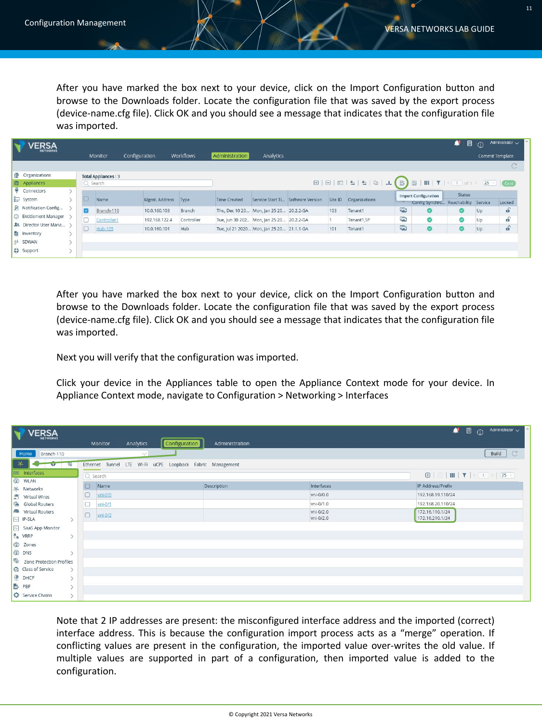After you have marked the box next to your device, click on the Import Configuration button and browse to the Downloads folder. Locate the configuration file that was saved by the export process (device-name.cfg file). Click OK and you should see a message that indicates that the configuration file was imported.

|                      | <b>ERSA</b>             |          |                            |               |               |                     |                                           |                  |         |                                                                                                                                                                                                                                                                                                                                                                                                                                                                                                                                                |             |                             | ۰<br>圓               | $\Omega$ | Administrator $\smile$ |
|----------------------|-------------------------|----------|----------------------------|---------------|---------------|---------------------|-------------------------------------------|------------------|---------|------------------------------------------------------------------------------------------------------------------------------------------------------------------------------------------------------------------------------------------------------------------------------------------------------------------------------------------------------------------------------------------------------------------------------------------------------------------------------------------------------------------------------------------------|-------------|-----------------------------|----------------------|----------|------------------------|
|                      | <b>NETWORKS</b>         |          | Monitor                    | Configuration | Workflows     | Administration      | Analytics                                 |                  |         |                                                                                                                                                                                                                                                                                                                                                                                                                                                                                                                                                |             |                             |                      |          | Commit Template        |
|                      |                         |          |                            |               |               |                     |                                           |                  |         |                                                                                                                                                                                                                                                                                                                                                                                                                                                                                                                                                |             |                             |                      |          |                        |
| <b>Organizations</b> |                         |          | <b>Total Appliances: 3</b> |               |               |                     |                                           |                  |         |                                                                                                                                                                                                                                                                                                                                                                                                                                                                                                                                                |             |                             |                      |          |                        |
| <b>S</b> Appliances  |                         | Q Search |                            |               |               |                     |                                           |                  |         | $\textcolor{blue}{\textbf{B} \mid \textcolor{blue}{\textbf{B} \mid \textcolor{blue}{\textbf{B} \mid \textcolor{blue}{\textbf{B} \mid \textcolor{blue}{\textbf{A}} \mid \textcolor{blue}{\textbf{A}} \mid \textcolor{blue}{\textbf{A} \mid \textcolor{blue}{\textbf{A}} \mid \textcolor{blue}{\textbf{A}} \mid \textcolor{blue}{\textbf{B} \mid \textcolor{blue}{\textbf{B} \mid \textcolor{blue}{\textbf{I}\mid \textcolor{blue}{\textbf{Y} \mid \textcolor{blue}{\textbf{I} \mid \textcolor{blue}{\textbf{C} \mid \textcolor{blue}{\textbf{A$ |             |                             |                      |          |                        |
| Connectors           |                         |          |                            |               |               |                     |                                           |                  |         |                                                                                                                                                                                                                                                                                                                                                                                                                                                                                                                                                |             | <b>Import Configuration</b> | Status               |          |                        |
| System               |                         |          | Name                       | Mgmt. Address | Type          | <b>Time Created</b> | Service Start Ti                          | Software Version | Site ID | Organizations                                                                                                                                                                                                                                                                                                                                                                                                                                                                                                                                  |             | Config Synchro              | Reachability Service |          | Locked                 |
|                      | Notification Config     | ø        | Branch-110                 | 10.0.160.103  | <b>Branch</b> |                     | Thu, Dec 10 20 Mon, Jan 25 20 20.2.2-GA   |                  | 103     | Tenant1                                                                                                                                                                                                                                                                                                                                                                                                                                                                                                                                        | <b>Inc.</b> | ల                           |                      | Up       | f(x)                   |
|                      | S Entitlement Manager   |          | Controller1                | 192.168.122.4 | Controller    |                     | Tue, Jun 30 202 Mon, Jan 25 20 20.2.2-GA  |                  |         | Tenant1,SP                                                                                                                                                                                                                                                                                                                                                                                                                                                                                                                                     | $\sqrt{2}$  | ◙                           | ◙                    | Up       | சி                     |
|                      | 1. Director User Mana > |          | <b>Hub-105</b>             | 10.0.160.101  | Hub           |                     | Tue, Jul 21 2020 Mon, Jan 25 20 21.1.1-GA |                  | 101     | Tenant1                                                                                                                                                                                                                                                                                                                                                                                                                                                                                                                                        | 応           | O                           |                      | Up       | $f_{\rm eff}$          |
| <b>图</b> Inventory   |                         |          |                            |               |               |                     |                                           |                  |         |                                                                                                                                                                                                                                                                                                                                                                                                                                                                                                                                                |             |                             |                      |          |                        |
| & SDWAN              |                         |          |                            |               |               |                     |                                           |                  |         |                                                                                                                                                                                                                                                                                                                                                                                                                                                                                                                                                |             |                             |                      |          |                        |
| <b>CD</b> Support    |                         |          |                            |               |               |                     |                                           |                  |         |                                                                                                                                                                                                                                                                                                                                                                                                                                                                                                                                                |             |                             |                      |          |                        |

After you have marked the box next to your device, click on the Import Configuration button and browse to the Downloads folder. Locate the configuration file that was saved by the export process (device-name.cfg file). Click OK and you should see a message that indicates that the configuration file was imported.

Next you will verify that the configuration was imported.

Click your device in the Appliances table to open the Appliance Context mode for your device. In Appliance Context mode, navigate to Configuration > Networking > Interfaces

| N<br><b>VERSA</b>                                                |               | Analytics<br>Monitor                                      | <b>Configuration</b><br>Administration |                        | Administrator $\smile$<br>۰<br>圓<br>$\odot$ |
|------------------------------------------------------------------|---------------|-----------------------------------------------------------|----------------------------------------|------------------------|---------------------------------------------|
| Home<br>Branch-110                                               |               | $\checkmark$                                              |                                        |                        | Build                                       |
| $\gg$<br><b>MAG</b> 40                                           |               | Ethernet Tunnel LTE Wi-Fi uCPE Loopback Fabric Management |                                        |                        |                                             |
| Interfaces<br>E                                                  |               | Q Search                                                  |                                        |                        |                                             |
| <b>WLAN</b><br>楽 Networks                                        |               | $\Box$<br>Name                                            | Description                            | Interfaces             | IP Address/Prefix                           |
| $\Xi$<br>Virtual Wires                                           |               | $\Box$<br>vni-0/0                                         |                                        | vni-0/0.0              | 192.168.19.110/24                           |
| G<br><b>Global Routers</b>                                       |               | o<br>$Vni-0/1$                                            |                                        | vni-0/1.0              | 192.168.20.110/24                           |
| Virtual Routers<br>$\sim$<br>IP-SLA                              |               | $\Box$<br>$Vn = 0/2$                                      |                                        | vni-0/2.0<br>vni-0/2.0 | 172.16.110.1/24<br>172.16.210.1/24          |
| $\begin{bmatrix} \mathbb{R}^n \end{bmatrix}$<br>SaaS App Monitor |               |                                                           |                                        |                        |                                             |
| 품 VRRP                                                           | $\mathcal{P}$ |                                                           |                                        |                        |                                             |
| C Zones                                                          |               |                                                           |                                        |                        |                                             |
| C DNS                                                            |               |                                                           |                                        |                        |                                             |
| <b>Zone Protection Profiles</b>                                  |               |                                                           |                                        |                        |                                             |
| Co Class of Service                                              | $\mathcal{P}$ |                                                           |                                        |                        |                                             |
| O DHCP                                                           |               |                                                           |                                        |                        |                                             |
| <b>B</b> PBF                                                     |               |                                                           |                                        |                        |                                             |
| Service Chains                                                   |               |                                                           |                                        |                        |                                             |

Note that 2 IP addresses are present: the misconfigured interface address and the imported (correct) interface address. This is because the configuration import process acts as a "merge" operation. If conflicting values are present in the configuration, the imported value over-writes the old value. If multiple values are supported in part of a configuration, then imported value is added to the configuration.